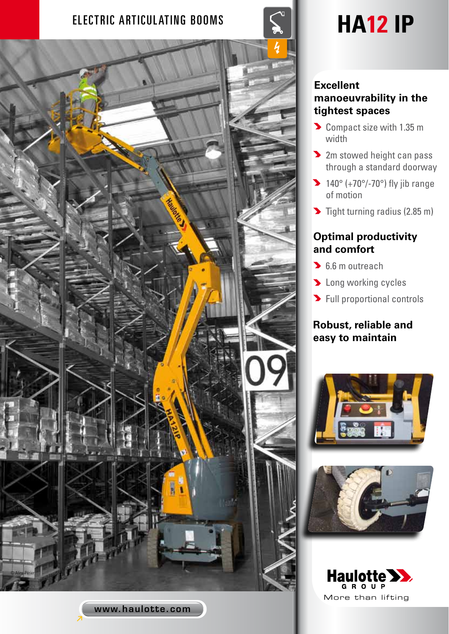# ELECTRIC ARTICULATING BOOMS  $\|\leq \|$  **HA12 IP**



www.haulotte.com

#### **Excellent manoeuvrability in the tightest spaces**

- Compact size with 1.35 m width
- **2** 2m stowed height can pass through a standard doorway
- $\blacktriangleright$  140° (+70°/-70°) fly jib range of motion
- $\blacktriangleright$  Tight turning radius (2.85 m)

## **Optimal productivity and comfort**

- **6.6 m outreach**
- **D** Long working cycles
- **>** Full proportional controls

## **Robust, reliable and easy to maintain**